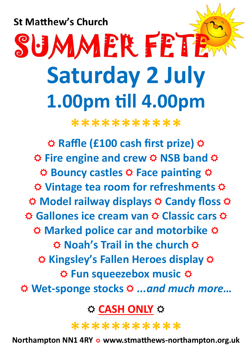**St Matthew's Church** 

# SUMMER FETE **Saturday 2 July** 1.00pm till 4.00pm

\*\*\*\*\*\*\*\*\*\*\*

☆ Raffle (£100 cash first prize) ☆ **☆ Fire engine and crew ☆ NSB band ☆ ☆ Bouncy castles ☆ Face painting ☆** ☆ Vintage tea room for refreshments ☆ **☆ Model railway displays ☆ Candy floss ☆**  $\hat{\varphi}$  **Gallones ice cream van**  $\hat{\varphi}$  **Classic cars**  $\hat{\varphi}$ ☆ Marked police car and motorbike ☆ **☆ Noah's Trail in the church ☆** ☆ Kingsley's Fallen Heroes display ☆ **☆ Fun squeezebox music ☆** ☆ Wet-sponge stocks ☆ ...and much more...

**O CASH ONLY Ø** 

\*\*\*\*\*\*\*\*\*\*\*

Northampton NN1 4RY ☆ www.stmatthews-northampton.org.uk